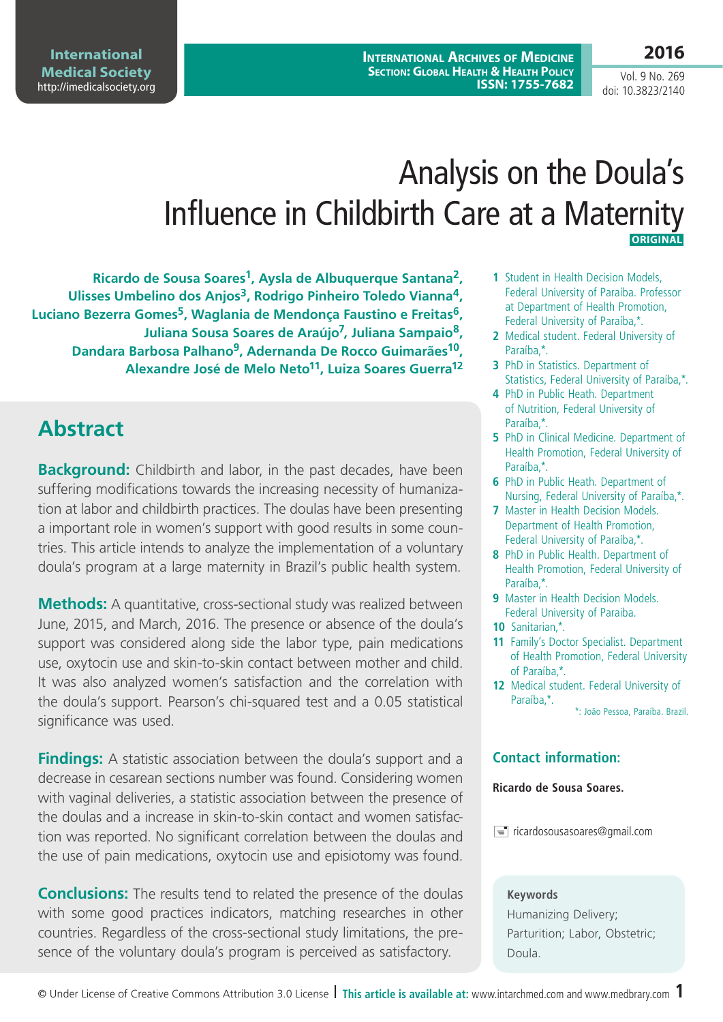**International Archives of Medicine Section: Global Health & Health Policy ISSN: 1755-7682**

# Analysis on the Doula's Influence in Childbirth Care at a Maternity  **ORIGINAL**

**Ricardo de Sousa Soares1, Aysla de Albuquerque Santana2, Ulisses Umbelino dos Anjos3, Rodrigo Pinheiro Toledo Vianna4,**  Luciano Bezerra Gomes<sup>5</sup>, Waglania de Mendonça Faustino e Freitas<sup>6</sup>, **Juliana Sousa Soares de Araújo7, Juliana Sampaio8, Dandara Barbosa Palhano9, Adernanda De Rocco Guimarães10, Alexandre José de Melo Neto11, Luiza Soares Guerra12**

## **Abstract**

**Background:** Childbirth and labor, in the past decades, have been suffering modifications towards the increasing necessity of humanization at labor and childbirth practices. The doulas have been presenting a important role in women's support with good results in some countries. This article intends to analyze the implementation of a voluntary doula's program at a large maternity in Brazil's public health system.

**Methods:** A quantitative, cross-sectional study was realized between June, 2015, and March, 2016. The presence or absence of the doula's support was considered along side the labor type, pain medications use, oxytocin use and skin-to-skin contact between mother and child. It was also analyzed women's satisfaction and the correlation with the doula's support. Pearson's chi-squared test and a 0.05 statistical significance was used.

**Findings:** A statistic association between the doula's support and a decrease in cesarean sections number was found. Considering women with vaginal deliveries, a statistic association between the presence of the doulas and a increase in skin-to-skin contact and women satisfaction was reported. No significant correlation between the doulas and the use of pain medications, oxytocin use and episiotomy was found.

**Conclusions:** The results tend to related the presence of the doulas with some good practices indicators, matching researches in other countries. Regardless of the cross-sectional study limitations, the presence of the voluntary doula's program is perceived as satisfactory.

- **1** Student in Health Decision Models, Federal University of Paraíba. Professor at Department of Health Promotion, Federal University of Paraíba,\*.
- **2** Medical student. Federal University of Paraíba,\*.
- **3** PhD in Statistics. Department of Statistics, Federal University of Paraíba,\*.
- **4** PhD in Public Heath. Department of Nutrition, Federal University of Paraíba,\*.
- **5** PhD in Clinical Medicine. Department of Health Promotion, Federal University of Paraíba,\*.
- **6** PhD in Public Heath. Department of Nursing, Federal University of Paraíba,\*.
- **7** Master in Health Decision Models. Department of Health Promotion, Federal University of Paraíba,\*.
- **8** PhD in Public Health. Department of Health Promotion, Federal University of Paraíba,\*.
- **9** Master in Health Decision Models. Federal University of Paraiba.
- **10** Sanitarian,\*.
- **11** Family's Doctor Specialist. Department of Health Promotion, Federal University of Paraíba,\*.
- **12** Medical student. Federal University of Paraíba,\*.

\*: João Pessoa, Paraíba. Brazil.

#### **Contact information:**

#### **Ricardo de Sousa Soares.**

 $\equiv$  ricardosousasoares@gmail.com

#### **Keywords**

Humanizing Delivery; Parturition; Labor, Obstetric; Doula.

Vol. 9 No. 269 doi: 10.3823/2140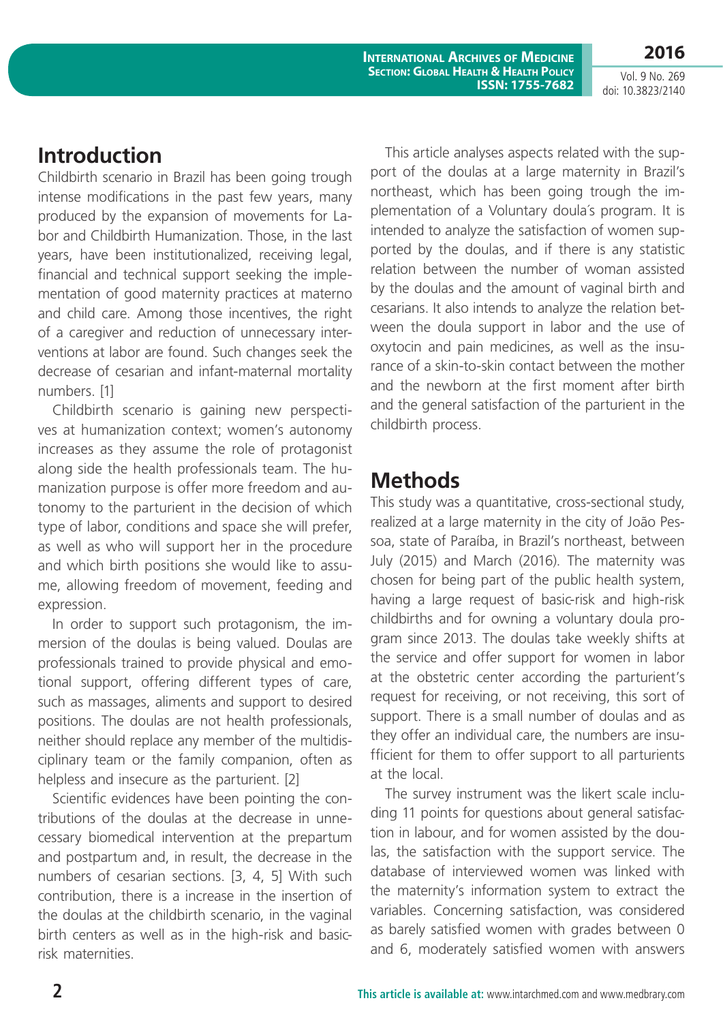**International Archives of Medicine Section: Global Health & Health Policy ISSN: 1755-7682**

Vol. 9 No. 269 doi: 10.3823/2140

**2016**

### **Introduction**

Childbirth scenario in Brazil has been going trough intense modifications in the past few years, many produced by the expansion of movements for Labor and Childbirth Humanization. Those, in the last years, have been institutionalized, receiving legal, financial and technical support seeking the implementation of good maternity practices at materno and child care. Among those incentives, the right of a caregiver and reduction of unnecessary interventions at labor are found. Such changes seek the decrease of cesarian and infant-maternal mortality numbers. [1]

Childbirth scenario is gaining new perspectives at humanization context; women's autonomy increases as they assume the role of protagonist along side the health professionals team. The humanization purpose is offer more freedom and autonomy to the parturient in the decision of which type of labor, conditions and space she will prefer, as well as who will support her in the procedure and which birth positions she would like to assume, allowing freedom of movement, feeding and expression.

In order to support such protagonism, the immersion of the doulas is being valued. Doulas are professionals trained to provide physical and emotional support, offering different types of care, such as massages, aliments and support to desired positions. The doulas are not health professionals, neither should replace any member of the multidisciplinary team or the family companion, often as helpless and insecure as the parturient. [2]

Scientific evidences have been pointing the contributions of the doulas at the decrease in unnecessary biomedical intervention at the prepartum and postpartum and, in result, the decrease in the numbers of cesarian sections. [3, 4, 5] With such contribution, there is a increase in the insertion of the doulas at the childbirth scenario, in the vaginal birth centers as well as in the high-risk and basicrisk maternities.

This article analyses aspects related with the support of the doulas at a large maternity in Brazil's northeast, which has been going trough the implementation of a Voluntary doula´s program. It is intended to analyze the satisfaction of women supported by the doulas, and if there is any statistic relation between the number of woman assisted by the doulas and the amount of vaginal birth and cesarians. It also intends to analyze the relation between the doula support in labor and the use of oxytocin and pain medicines, as well as the insurance of a skin-to-skin contact between the mother and the newborn at the first moment after birth and the general satisfaction of the parturient in the childbirth process.

# **Methods**

This study was a quantitative, cross-sectional study, realized at a large maternity in the city of João Pessoa, state of Paraíba, in Brazil's northeast, between July (2015) and March (2016). The maternity was chosen for being part of the public health system, having a large request of basic-risk and high-risk childbirths and for owning a voluntary doula program since 2013. The doulas take weekly shifts at the service and offer support for women in labor at the obstetric center according the parturient's request for receiving, or not receiving, this sort of support. There is a small number of doulas and as they offer an individual care, the numbers are insufficient for them to offer support to all parturients at the local.

The survey instrument was the likert scale including 11 points for questions about general satisfaction in labour, and for women assisted by the doulas, the satisfaction with the support service. The database of interviewed women was linked with the maternity's information system to extract the variables. Concerning satisfaction, was considered as barely satisfied women with grades between 0 and 6, moderately satisfied women with answers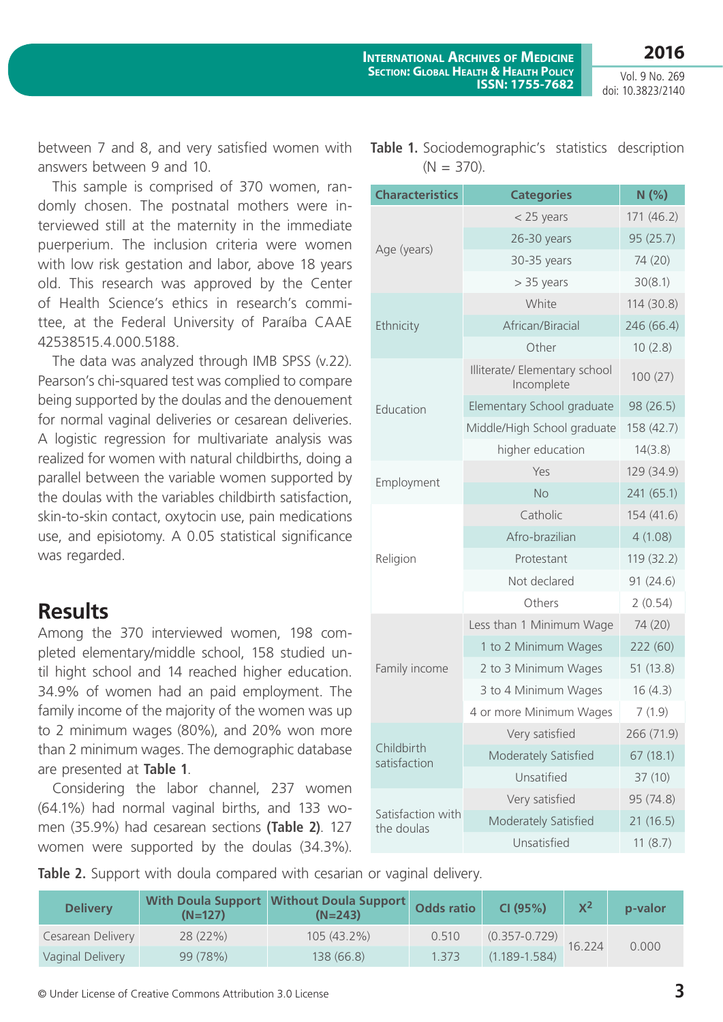**2016**

Vol. 9 No. 269 doi: 10.3823/2140

between 7 and 8, and very satisfied women with answers between 9 and 10.

This sample is comprised of 370 women, randomly chosen. The postnatal mothers were interviewed still at the maternity in the immediate puerperium. The inclusion criteria were women with low risk gestation and labor, above 18 years old. This research was approved by the Center of Health Science's ethics in research's committee, at the Federal University of Paraíba CAAE 42538515.4.000.5188.

The data was analyzed through IMB SPSS (v.22). Pearson's chi-squared test was complied to compare being supported by the doulas and the denouement for normal vaginal deliveries or cesarean deliveries. A logistic regression for multivariate analysis was realized for women with natural childbirths, doing a parallel between the variable women supported by the doulas with the variables childbirth satisfaction, skin-to-skin contact, oxytocin use, pain medications use, and episiotomy. A 0.05 statistical significance was regarded.

#### **Results**

Among the 370 interviewed women, 198 completed elementary/middle school, 158 studied until hight school and 14 reached higher education. 34.9% of women had an paid employment. The family income of the majority of the women was up to 2 minimum wages (80%), and 20% won more than 2 minimum wages. The demographic database are presented at **Table 1**.

Considering the labor channel, 237 women (64.1%) had normal vaginal births, and 133 women (35.9%) had cesarean sections **(Table 2)**. 127 women were supported by the doulas (34.3%).

| <b>Characteristics</b> | <b>Categories</b>                           | N(%)       |  |
|------------------------|---------------------------------------------|------------|--|
|                        | $<$ 25 years                                | 171 (46.2) |  |
| Age (years)            | 26-30 years                                 | 95 (25.7)  |  |
|                        | 30-35 years                                 | 74 (20)    |  |
|                        | $> 35$ years                                | 30(8.1)    |  |
|                        | White                                       | 114 (30.8) |  |
| Ethnicity              | African/Biracial                            | 246 (66.4) |  |
|                        | Other                                       | 10(2.8)    |  |
| Education              | Illiterate/ Elementary school<br>Incomplete | 100(27)    |  |
|                        | Elementary School graduate                  | 98 (26.5)  |  |
|                        | Middle/High School graduate                 | 158 (42.7) |  |
|                        | higher education                            | 14(3.8)    |  |
| Employment             | Yes                                         | 129 (34.9) |  |
|                        | <b>No</b>                                   | 241 (65.1) |  |
|                        | Catholic                                    | 154 (41.6) |  |
| Religion               | Afro-brazilian                              | 4(1.08)    |  |
|                        | Protestant                                  | 119 (32.2) |  |
|                        | Not declared                                | 91(24.6)   |  |
|                        | Others                                      | 2(0.54)    |  |
|                        | Less than 1 Minimum Wage                    | 74 (20)    |  |
|                        | 1 to 2 Minimum Wages                        | 222 (60)   |  |

2 to 3 Minimum Wages 51 (13.8) 3 to 4 Minimum Wages 16 (4.3) 4 or more Minimum Wages 7 (1.9)

Very satisfied 266 (71.9) Moderately Satisfied 67 (18.1)

Unsatified 37 (10)

Very satisfied 95 (74.8) Moderately Satisfied 21 (16.5)

Unsatisfied 11 (8.7)

|  | <b>Table 1.</b> Sociodemographic's statistics description |  |
|--|-----------------------------------------------------------|--|
|  | $(N = 370)$ .                                             |  |

**Table 2.** Support with doula compared with cesarian or vaginal delivery.

| <b>Delivery</b>   | $(N=127)$ | With Doula Support   Without Doula Support  <br>$(N=243)$ | <b>Odds ratio</b> | CI (95%)          | $X^2$  | p-valor |
|-------------------|-----------|-----------------------------------------------------------|-------------------|-------------------|--------|---------|
| Cesarean Delivery | 28(22%)   | $105(43.2\%)$                                             | 0.510             | $(0.357 - 0.729)$ | 16.224 | 0.000   |
| Vaginal Delivery  | 99 (78%)  | 138 (66.8)                                                | 1.373             | $(1.189 - 1.584)$ |        |         |

Family income

Childbirth satisfaction

Satisfaction with the doulas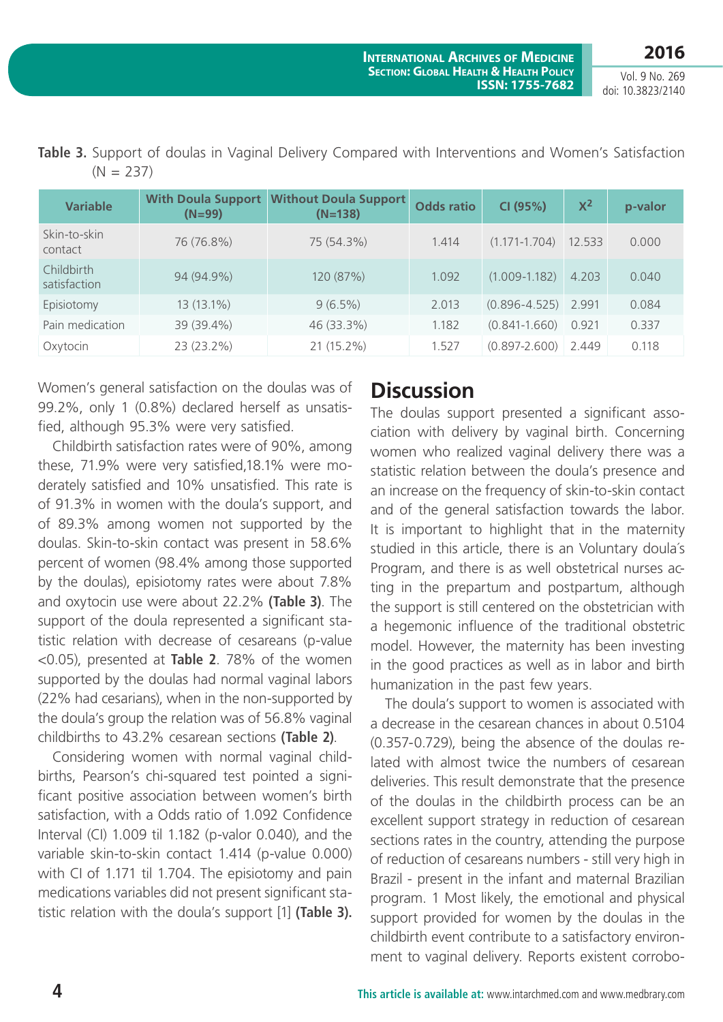**2016**

Vol. 9 No. 269 doi: 10.3823/2140

| <b>Variable</b>            | <b>With Doula Support</b><br>$(N=99)$ | <b>Without Doula Support</b><br>$(N=138)$ | <b>Odds ratio</b> | CI (95%)                | $X^2$  | p-valor |
|----------------------------|---------------------------------------|-------------------------------------------|-------------------|-------------------------|--------|---------|
| Skin-to-skin<br>contact    | 76 (76.8%)                            | 75 (54.3%)                                | 1.414             | $(1.171 - 1.704)$       | 12.533 | 0.000   |
| Childbirth<br>satisfaction | 94 (94.9%)                            | 120 (87%)                                 | 1.092             | $(1.009 - 1.182)$       | 4.203  | 0.040   |
| Episiotomy                 | 13 (13.1%)                            | $9(6.5\%)$                                | 2.013             | $(0.896 - 4.525)$ 2.991 |        | 0.084   |
| Pain medication            | 39 (39.4%)                            | 46 (33.3%)                                | 1.182             | $(0.841 - 1.660)$       | 0.921  | 0.337   |
| Oxytocin                   | 23 (23.2%)                            | 21 (15.2%)                                | 1.527             | $(0.897 - 2.600)$       | 2.449  | 0.118   |

**Table 3.** Support of doulas in Vaginal Delivery Compared with Interventions and Women's Satisfaction  $(N = 237)$ 

Women's general satisfaction on the doulas was of 99.2%, only 1 (0.8%) declared herself as unsatisfied, although 95.3% were very satisfied.

Childbirth satisfaction rates were of 90%, among these, 71.9% were very satisfied,18.1% were moderately satisfied and 10% unsatisfied. This rate is of 91.3% in women with the doula's support, and of 89.3% among women not supported by the doulas. Skin-to-skin contact was present in 58.6% percent of women (98.4% among those supported by the doulas), episiotomy rates were about 7.8% and oxytocin use were about 22.2% **(Table 3)**. The support of the doula represented a significant statistic relation with decrease of cesareans (p-value <0.05), presented at **Table 2**. 78% of the women supported by the doulas had normal vaginal labors (22% had cesarians), when in the non-supported by the doula's group the relation was of 56.8% vaginal childbirths to 43.2% cesarean sections **(Table 2)**.

Considering women with normal vaginal childbirths, Pearson's chi-squared test pointed a significant positive association between women's birth satisfaction, with a Odds ratio of 1.092 Confidence Interval (CI) 1.009 til 1.182 (p-valor 0.040), and the variable skin-to-skin contact 1.414 (p-value 0.000) with CI of 1.171 til 1.704. The episiotomy and pain medications variables did not present significant statistic relation with the doula's support [1] **(Table 3).**

### **Discussion**

The doulas support presented a significant association with delivery by vaginal birth. Concerning women who realized vaginal delivery there was a statistic relation between the doula's presence and an increase on the frequency of skin-to-skin contact and of the general satisfaction towards the labor. It is important to highlight that in the maternity studied in this article, there is an Voluntary doula´s Program, and there is as well obstetrical nurses acting in the prepartum and postpartum, although the support is still centered on the obstetrician with a hegemonic influence of the traditional obstetric model. However, the maternity has been investing in the good practices as well as in labor and birth humanization in the past few years.

The doula's support to women is associated with a decrease in the cesarean chances in about 0.5104 (0.357-0.729), being the absence of the doulas related with almost twice the numbers of cesarean deliveries. This result demonstrate that the presence of the doulas in the childbirth process can be an excellent support strategy in reduction of cesarean sections rates in the country, attending the purpose of reduction of cesareans numbers - still very high in Brazil - present in the infant and maternal Brazilian program. 1 Most likely, the emotional and physical support provided for women by the doulas in the childbirth event contribute to a satisfactory environment to vaginal delivery. Reports existent corrobo-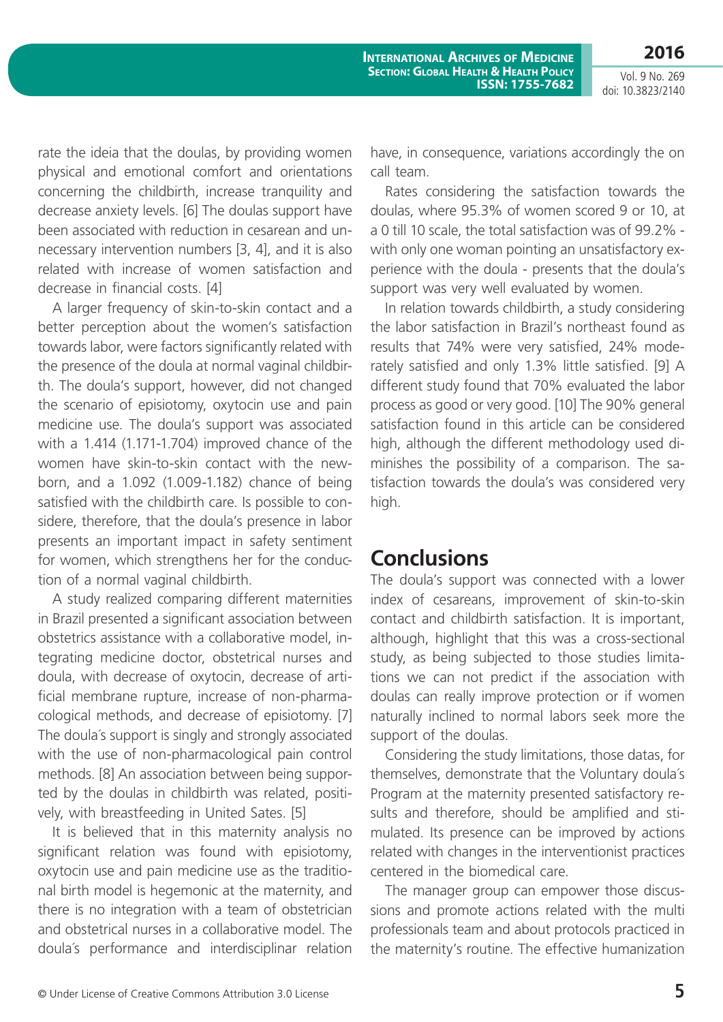**2016** Vol. 9 No. 269

doi: 10.3823/2140

rate the ideia that the doulas, by providing women physical and emotional comfort and orientations concerning the childbirth, increase tranquility and decrease anxiety levels. [6] The doulas support have been associated with reduction in cesarean and unnecessary intervention numbers [3, 4], and it is also related with increase of women satisfaction and decrease in financial costs. [4]

A larger frequency of skin-to-skin contact and a better perception about the women's satisfaction towards labor, were factors significantly related with the presence of the doula at normal vaginal childbirth. The doula's support, however, did not changed the scenario of episiotomy, oxytocin use and pain medicine use. The doula's support was associated with a 1.414 (1.171-1.704) improved chance of the women have skin-to-skin contact with the newborn, and a 1.092 (1.009-1.182) chance of being satisfied with the childbirth care. Is possible to considere, therefore, that the doula's presence in labor presents an important impact in safety sentiment for women, which strengthens her for the conduction of a normal vaginal childbirth.

A study realized comparing different maternities in Brazil presented a significant association between obstetrics assistance with a collaborative model, integrating medicine doctor, obstetrical nurses and doula, with decrease of oxytocin, decrease of artificial membrane rupture, increase of non-pharmacological methods, and decrease of episiotomy. [7] The doula´s support is singly and strongly associated with the use of non-pharmacological pain control methods. [8] An association between being supported by the doulas in childbirth was related, positively, with breastfeeding in United Sates. [5]

It is believed that in this maternity analysis no significant relation was found with episiotomy, oxytocin use and pain medicine use as the traditional birth model is hegemonic at the maternity, and there is no integration with a team of obstetrician and obstetrical nurses in a collaborative model. The doula´s performance and interdisciplinar relation have, in consequence, variations accordingly the on call team.

Rates considering the satisfaction towards the doulas, where 95.3% of women scored 9 or 10, at a 0 till 10 scale, the total satisfaction was of 99.2% with only one woman pointing an unsatisfactory experience with the doula - presents that the doula's support was very well evaluated by women.

In relation towards childbirth, a study considering the labor satisfaction in Brazil's northeast found as results that 74% were very satisfied, 24% moderately satisfied and only 1.3% little satisfied. [9] A different study found that 70% evaluated the labor process as good or very good. [10] The 90% general satisfaction found in this article can be considered high, although the different methodology used diminishes the possibility of a comparison. The satisfaction towards the doula's was considered very high.

#### **Conclusions**

The doula's support was connected with a lower index of cesareans, improvement of skin-to-skin contact and childbirth satisfaction. It is important, although, highlight that this was a cross-sectional study, as being subjected to those studies limitations we can not predict if the association with doulas can really improve protection or if women naturally inclined to normal labors seek more the support of the doulas.

Considering the study limitations, those datas, for themselves, demonstrate that the Voluntary doula´s Program at the maternity presented satisfactory results and therefore, should be amplified and stimulated. Its presence can be improved by actions related with changes in the interventionist practices centered in the biomedical care.

The manager group can empower those discussions and promote actions related with the multi professionals team and about protocols practiced in the maternity's routine. The effective humanization